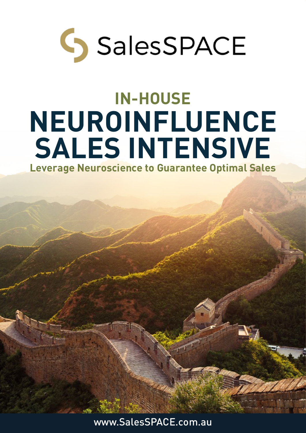

## **IN-HOUSE Leverage Neuroscience to Guarantee Optimal Sales NEUROINFLUENCE SALES INTENSIVE**

www.SalesSPACE.com.au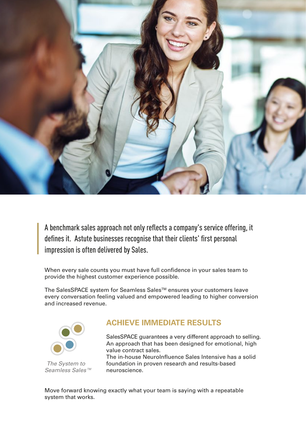

*A benchmark sales approach not only reflects a company's service offering, it defines it. Astute businesses recognise that their clients' first personal impression is often delivered by Sales.*

When every sale counts you must have full confidence in your sales team to provide the highest customer experience possible.

The SalesSPACE system for Seamless Sales™ ensures your customers leave every conversation feeling valued and empowered leading to higher conversion and increased revenue.



 *The System to Seamless Sales™*

### **ACHIEVE IMMEDIATE RESULTS**

SalesSPACE guarantees a very different approach to selling. An approach that has been designed for emotional, high value contract sales.

The in-house NeuroInfluence Sales Intensive has a solid foundation in proven research and results-based neuroscience.

Move forward knowing exactly what your team is saying with a repeatable system that works.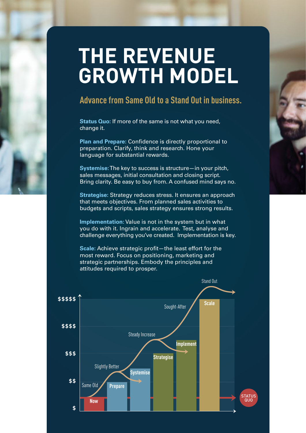## **THE REVENUE GROWTH MODEL**

## **Advance from Same Old to a Stand Out in business.**

**Status Quo:** If more of the same is not what you need, change it.

**Plan and Prepare:** Confidence is directly proportional to preparation. Clarify, think and research. Hone your language for substantial rewards.

**Systemise:**The key to success is structure—in your pitch, sales messages, initial consultation and closing script. Bring clarity. Be easy to buy from. A confused mind says no.

**Strategise:** Strategy reduces stress. It ensures an approach that meets objectives. From planned sales activities to budgets and scripts, sales strategy ensures strong results.

**Implementation:** Value is not in the system but in what you do with it. Ingrain and accelerate. Test, analyse and challenge everything you've created. Implementation is key.

**Scale:** Achieve strategic profit—the least effort for the most reward. Focus on positioning, marketing and strategic partnerships. Embody the principles and attitudes required to prosper.





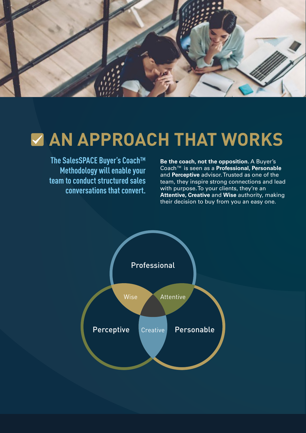

## **MAN APPROACH THAT WORKS**

**The SalesSPACE Buyer's Coach™ Methodology will enable your team to conduct structured sales conversations that convert.**

**Be the coach, not the opposition.** A Buyer's Coach™ is seen as a **Professional, Personable** and **Perceptive** advisor. Trusted as one of the team, they inspire strong connections and lead with purpose. To your clients, they're an **Attentive, Creative** and **Wise** authority, making their decision to buy from you an easy one.

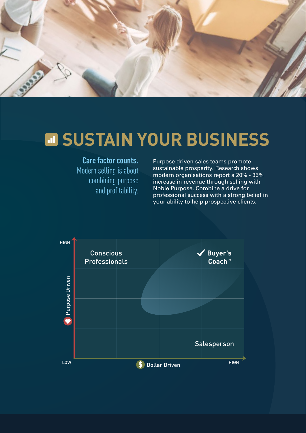

## **M SUSTAIN YOUR BUSINESS**

### **Care factor counts.**

Modern selling is about combining purpose and profitability.

Purpose driven sales teams promote sustainable prosperity. Research shows modern organisations report a 20% - 35% increase in revenue through selling with Noble Purpose. Combine a drive for professional success with a strong belief in your ability to help prospective clients.

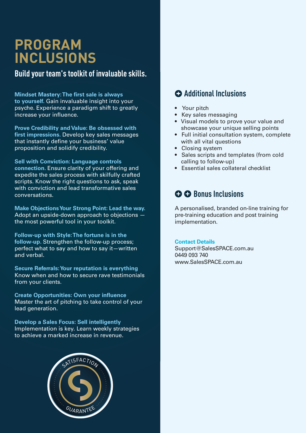## **PROGRAM INCLUSIONS**

**Build your team's toolkit of invaluable skills.**

**Mindset Mastery: The first sale is always to yourself.** Gain invaluable insight into your psyche. Experience a paradigm shift to greatly increase your influence.

**Prove Credibility and Value: Be obsessed with first impressions.** Develop key sales messages that instantly define your business' value proposition and solidify credibility.

**Sell with Conviction: Language controls connection.** Ensure clarity of your offering and expedite the sales process with skilfully crafted scripts. Know the right questions to ask, speak with conviction and lead transformative sales conversations.

**Make Objections Your Strong Point: Lead the way.**  Adopt an upside-down approach to objections the most powerful tool in your toolkit.

**Follow-up with Style: The fortune is in the follow-up.** Strengthen the follow-up process; perfect what to say and how to say it—written and verbal.

**Secure Referrals: Your reputation is everything** Know when and how to secure rave testimonials from your clients.

**Create Opportunities: Own your influence** Master the art of pitching to take control of your lead generation.

**Develop a Sales Focus: Sell intelligently** Implementation is key. Learn weekly strategies to achieve a marked increase in revenue.



## **Additional Inclusions**

- Your pitch
- Key sales messaging
- Visual models to prove your value and showcase your unique selling points
- Full initial consultation system, complete with all vital questions
- Closing system
- Sales scripts and templates (from cold calling to follow-up)
- Essential sales collateral checklist

### $\Omega$  **Bonus Inclusions**

A personalised, branded on-line training for pre-training education and post training implementation.

#### **Contact Details**

Support@SalesSPACE.com.au 0449 093 740 www.SalesSPACE.com.au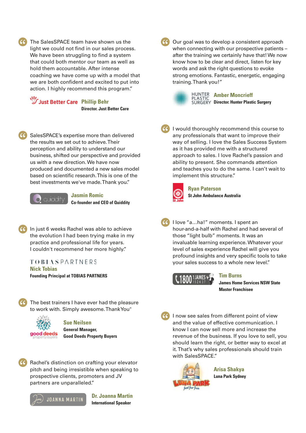The SalesSPACE team have shown us the light we could not find in our sales process. We have been struggling to find a system that could both mentor our team as we hold them accountable. After intense coaching we have come up with a model that we are both confident and excited to put into action. I highly recommend this program

**Just Better Care Phillip Behr Director. Just Better Care**

when connecting with our pro after the training we certain! know how to be cle strong emotions. training. Thank

In goal was to develop a consister words and ask the right questions to evoke



**Amber Mo Dr. Hunter Plastic Surgery** 

SalesSPACE's expertise more than delivered the results we set out to achieve. Their perception and ability to understand our business, shifted our perspective and provided us with a new direction. We have now produced and documented a new sales model scientific research. This is one of the tments we've made. Thank you."



**Jasmin Romic** 

**Co-founder and CEO of Quiddity** 

In just 6 weeks Rachel was able to achieve the evolution I had been trying make in my practice and professional life for years. I couldn't recommend her more highly."

**TOBIASPARTNERS Nick Tobias Founding Principal at TOBIAS PARTNERS**



The best trainers I have ever had the pleasure to work with. Simply awesome. Thank You"



**Sue Neilsen General Manager, Good Deeds Property Buyers**



Rachel's distinction on crafting your elevator pitch and being irresistible when speaking to prospective clients, promoters and JV partners are unparalleled."

**JOANNA MARTIN** 



**Dr. Joanna Martin International Speaker**

I would thoroughly recommend this course to any professionals that want to improve their way of selling. I love the Sales Success System as it has provided me with a structured approach to sales. I love Rachel's passion and ability to present. She commands attention and teaches you to do the same. I can't wait to implement this structure."



**Ryan Paterson St John Ambulance Australia**

I ... ha!" moments. I spent an ind-a-half with Rachel and had several light bulb" moments. It was a invaluable learning experience. Whatever your nd very specific <mark>tools to take</mark> **vour sales** success to a whole new

el will give yo



**Tim Burns James Home Services NSW State Master Franchisee**

I now see sales from different point of view and the value of effective communication. I know I can now sell more and increase the revenue of the business. If you love to sell, you should learn the right, or better way to excel at it. That's why sales professionals should train with SalesSPACE."



**Arisa Shakya Luna Park Sydney**